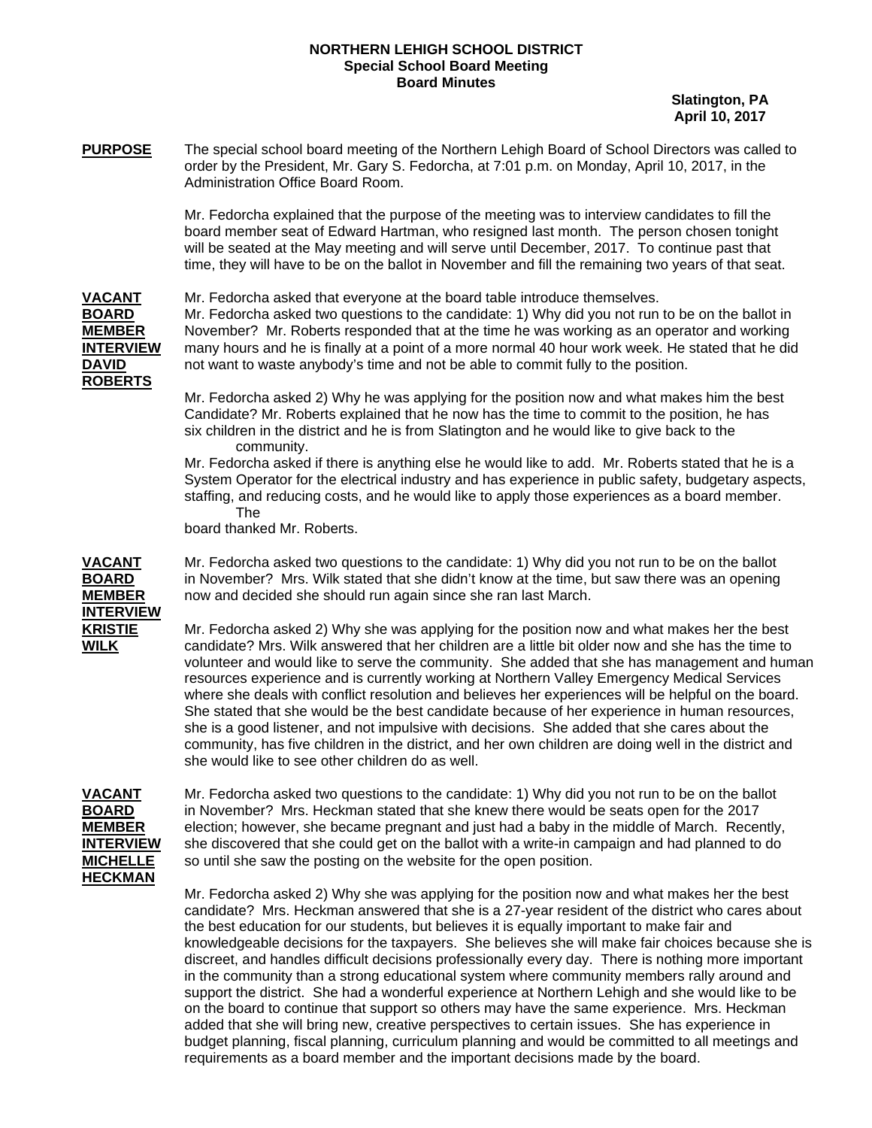## **NORTHERN LEHIGH SCHOOL DISTRICT Special School Board Meeting Board Minutes**

 **Slatington, PA April 10, 2017** 

**PURPOSE** The special school board meeting of the Northern Lehigh Board of School Directors was called to order by the President, Mr. Gary S. Fedorcha, at 7:01 p.m. on Monday, April 10, 2017, in the Administration Office Board Room.

> Mr. Fedorcha explained that the purpose of the meeting was to interview candidates to fill the board member seat of Edward Hartman, who resigned last month. The person chosen tonight will be seated at the May meeting and will serve until December, 2017. To continue past that time, they will have to be on the ballot in November and fill the remaining two years of that seat.

**ROBERTS**

**VACANT** Mr. Fedorcha asked that everyone at the board table introduce themselves. **BOARD** Mr. Fedorcha asked two questions to the candidate: 1) Why did you not run to be on the ballot in **MEMBER** November? Mr. Roberts responded that at the time he was working as an operator and working **INTERVIEW** many hours and he is finally at a point of a more normal 40 hour work week. He stated that he did **DAVID** not want to waste anybody's time and not be able to commit fully to the position.

> Mr. Fedorcha asked 2) Why he was applying for the position now and what makes him the best Candidate? Mr. Roberts explained that he now has the time to commit to the position, he has six children in the district and he is from Slatington and he would like to give back to the community.

 Mr. Fedorcha asked if there is anything else he would like to add. Mr. Roberts stated that he is a System Operator for the electrical industry and has experience in public safety, budgetary aspects, staffing, and reducing costs, and he would like to apply those experiences as a board member. The

board thanked Mr. Roberts.

**INTERVIEW**

**VACANT** Mr. Fedorcha asked two questions to the candidate: 1) Why did you not run to be on the ballot **BOARD** in November? Mrs. Wilk stated that she didn't know at the time, but saw there was an opening **MEMBER** now and decided she should run again since she ran last March.

**KRISTIE** Mr. Fedorcha asked 2) Why she was applying for the position now and what makes her the best **WILK** candidate? Mrs. Wilk answered that her children are a little bit older now and she has the time to volunteer and would like to serve the community. She added that she has management and human resources experience and is currently working at Northern Valley Emergency Medical Services where she deals with conflict resolution and believes her experiences will be helpful on the board. She stated that she would be the best candidate because of her experience in human resources, she is a good listener, and not impulsive with decisions. She added that she cares about the community, has five children in the district, and her own children are doing well in the district and she would like to see other children do as well.

## **HECKMAN**

**VACANT** Mr. Fedorcha asked two questions to the candidate: 1) Why did you not run to be on the ballot **BOARD** in November? Mrs. Heckman stated that she knew there would be seats open for the 2017 **MEMBER** election; however, she became pregnant and just had a baby in the middle of March. Recently, **INTERVIEW** she discovered that she could get on the ballot with a write-in campaign and had planned to do **MICHELLE** so until she saw the posting on the website for the open position.

> Mr. Fedorcha asked 2) Why she was applying for the position now and what makes her the best candidate? Mrs. Heckman answered that she is a 27-year resident of the district who cares about the best education for our students, but believes it is equally important to make fair and knowledgeable decisions for the taxpayers. She believes she will make fair choices because she is discreet, and handles difficult decisions professionally every day. There is nothing more important in the community than a strong educational system where community members rally around and support the district. She had a wonderful experience at Northern Lehigh and she would like to be on the board to continue that support so others may have the same experience. Mrs. Heckman added that she will bring new, creative perspectives to certain issues. She has experience in budget planning, fiscal planning, curriculum planning and would be committed to all meetings and requirements as a board member and the important decisions made by the board.